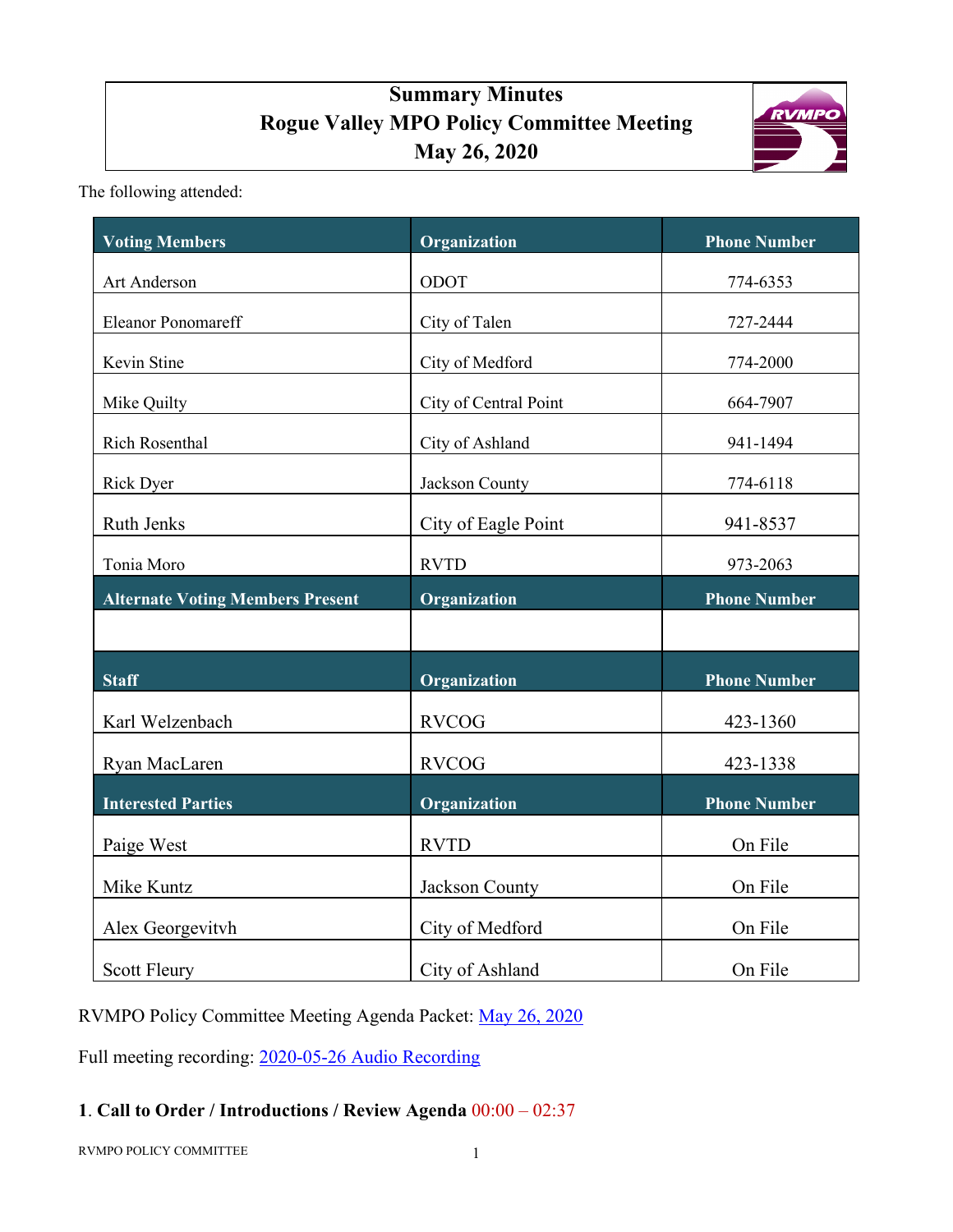# **Summary Minutes Rogue Valley MPO Policy Committee Meeting May 26, 2020**



The following attended:

| <b>Voting Members</b>                   | Organization          | <b>Phone Number</b> |
|-----------------------------------------|-----------------------|---------------------|
| Art Anderson                            | ODOT                  | 774-6353            |
| <b>Eleanor Ponomareff</b>               | City of Talen         | 727-2444            |
| Kevin Stine                             | City of Medford       | 774-2000            |
| Mike Quilty                             | City of Central Point | 664-7907            |
| Rich Rosenthal                          | City of Ashland       | 941-1494            |
| Rick Dyer                               | Jackson County        | 774-6118            |
| <b>Ruth Jenks</b>                       | City of Eagle Point   | 941-8537            |
| Tonia Moro                              | <b>RVTD</b>           | 973-2063            |
| <b>Alternate Voting Members Present</b> | Organization          | <b>Phone Number</b> |
|                                         |                       |                     |
| <b>Staff</b>                            | Organization          | <b>Phone Number</b> |
| Karl Welzenbach                         | <b>RVCOG</b>          | 423-1360            |
| Ryan MacLaren                           | <b>RVCOG</b>          | 423-1338            |
| <b>Interested Parties</b>               | Organization          | <b>Phone Number</b> |
| Paige West                              | <b>RVTD</b>           | On File             |
| Mike Kuntz                              | Jackson County        | On File             |
| Alex Georgevitvh                        | City of Medford       | On File             |
| <b>Scott Fleury</b>                     | City of Ashland       | On File             |

RVMPO Policy Committee Meeting Agenda Packet: [May 26, 2020](http://rvmpo.org/wp-content/uploads/2020/05/01Agenda-Packet.pdf)

Full meeting recording: 2020-05-26 [Audio Recording](http://rvmpo.org/wp-content/uploads/2019/09/05262020_RVMPO-POL.mp3)

# **1**. **Call to Order / Introductions / Review Agenda** 00:00 – 02:37

RVMPO POLICY COMMITTEE 1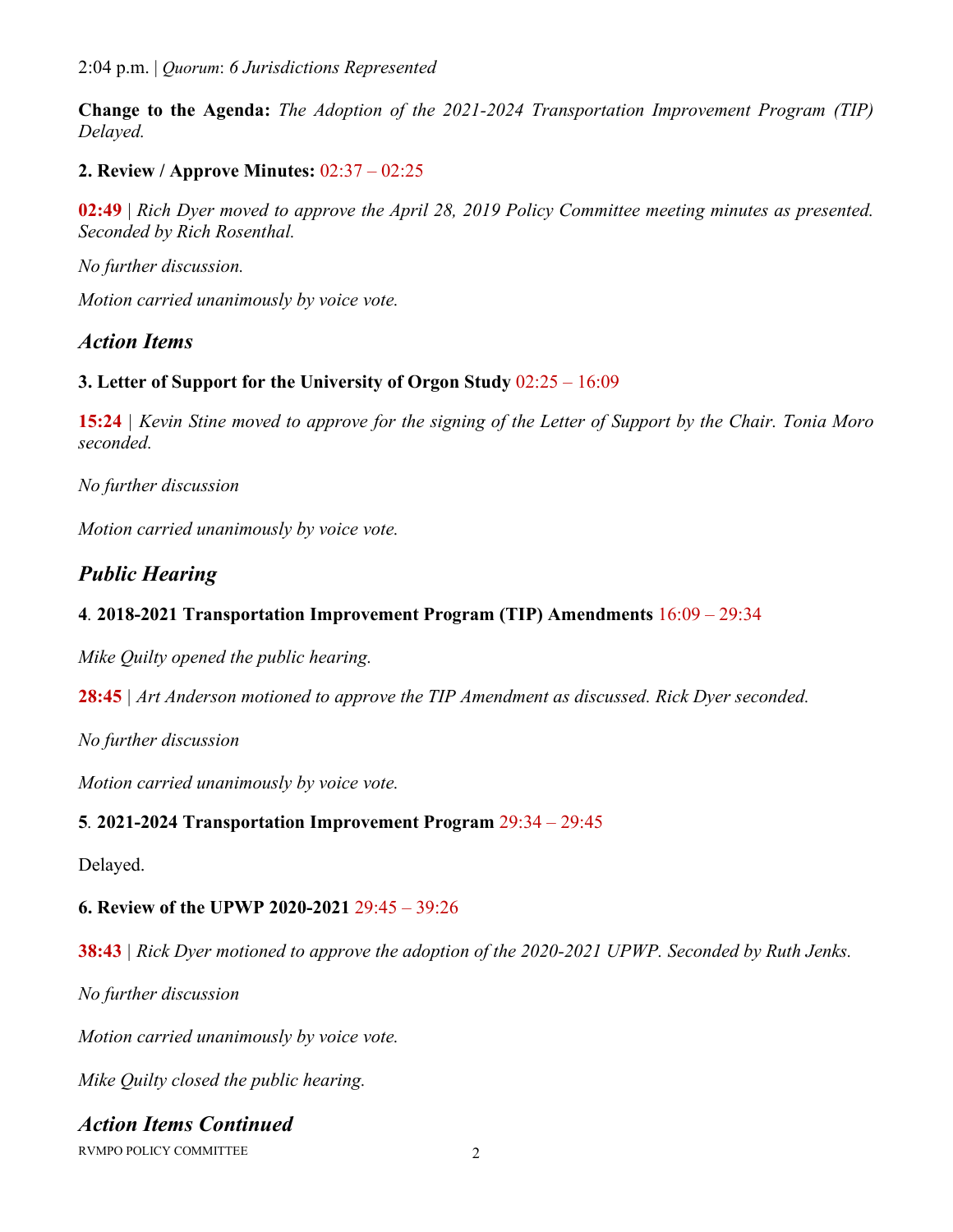2:04 p.m. | *Quorum*: *6 Jurisdictions Represented*

**Change to the Agenda:** *The Adoption of the 2021-2024 Transportation Improvement Program (TIP) Delayed.*

## **2. Review / Approve Minutes:** 02:37 – 02:25

**02:49** | *Rich Dyer moved to approve the April 28, 2019 Policy Committee meeting minutes as presented. Seconded by Rich Rosenthal.* 

*No further discussion.* 

*Motion carried unanimously by voice vote.*

# *Action Items*

#### **3. Letter of Support for the University of Orgon Study** 02:25 – 16:09

**15:24** *| Kevin Stine moved to approve for the signing of the Letter of Support by the Chair. Tonia Moro seconded.*

*No further discussion*

*Motion carried unanimously by voice vote.*

# *Public Hearing*

## **4***.* **2018-2021 Transportation Improvement Program (TIP) Amendments** 16:09 – 29:34

*Mike Quilty opened the public hearing.*

**28:45** *| Art Anderson motioned to approve the TIP Amendment as discussed. Rick Dyer seconded.* 

*No further discussion*

*Motion carried unanimously by voice vote.*

#### **5***.* **2021-2024 Transportation Improvement Program** 29:34 – 29:45

Delayed.

#### **6. Review of the UPWP 2020-2021** 29:45 – 39:26

**38:43** *| Rick Dyer motioned to approve the adoption of the 2020-2021 UPWP. Seconded by Ruth Jenks.*

*No further discussion*

*Motion carried unanimously by voice vote.*

*Mike Quilty closed the public hearing.*

# *Action Items Continued*

RVMPO POLICY COMMITTEE 2